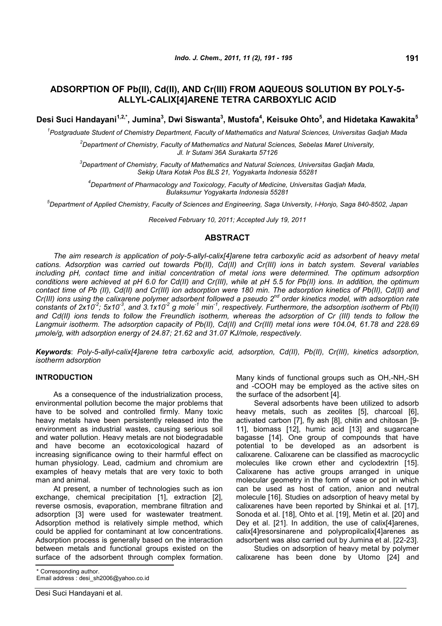# **ADSORPTION OF Pb(II), Cd(II), AND Cr(III) FROM AQUEOUS SOLUTION BY POLY-5- ALLYL-CALIX[4]ARENE TETRA CARBOXYLIC ACID**

**Desi Suci Handayani1,2,\* , Jumina<sup>3</sup> , Dwi Siswanta<sup>3</sup> , Mustofa<sup>4</sup> , Keisuke Ohto<sup>5</sup> , and Hidetaka Kawakita<sup>5</sup>**

*1 Postgraduate Student of Chemistry Department, Faculty of Mathematics and Natural Sciences, Universitas Gadjah Mada*

*<sup>2</sup>Department of Chemistry, Faculty of Mathematics and Natural Sciences, Sebelas Maret University, Jl. Ir Sutami 36A Surakarta 57126*

*<sup>3</sup>Department of Chemistry, Faculty of Mathematics and Natural Sciences, Universitas Gadjah Mada, Sekip Utara Kotak Pos BLS 21, Yogyakarta Indonesia 55281*

*<sup>4</sup>Department of Pharmacology and Toxicology, Faculty of Medicine, Universitas Gadjah Mada, Bulaksumur Yogyakarta Indonesia 55281*

*<sup>5</sup>Department of Applied Chemistry, Faculty of Sciences and Engineering, Saga University, I-Honjo, Saga 840-8502, Japan*

*Received February 10, 2011; Accepted July 19, 2011*

## **ABSTRACT**

*The aim research is application of poly-5-allyl-calix[4]arene tetra carboxylic acid as adsorbent of heavy metal cations. Adsorption was carried out towards Pb(II), Cd(II) and Cr(III) ions in batch system. Several variables including pH, contact time and initial concentration of metal ions were determined. The optimum adsorption conditions were achieved at pH 6.0 for Cd(II) and Cr(III), while at pH 5.5 for Pb(II) ions. In addition, the optimum contact time of Pb (II), Cd(II) and Cr(III) ion adsorption were 180 min. The adsorption kinetics of Pb(II), Cd(II) and Cr(III) ions using the calixarene polymer adsorbent followed a pseudo 2nd order kinetics model, with adsorption rate constants of 2x10-2 ; 5x10-3 , and 3.1x10-2 g mole-1 min-1 , respectively. Furthermore, the adsorption isotherm of Pb(II)* and Cd(II) ions tends to follow the Freundlich isotherm, whereas the adsorption of Cr (III) tends to follow the *Langmuir isotherm. The adsorption capacity of Pb(II), Cd(II) and Cr(III) metal ions were 104.04, 61.78 and 228.69 μmole/g, with adsorption energy of 24.87; 21.62 and 31.07 KJ/mole, respectively.*

*Keywords*: *Poly-5-allyl-calix[4]arene tetra carboxylic acid, adsorption, Cd(II), Pb(II), Cr(III), kinetics adsorption, isotherm adsorption*

## **INTRODUCTION**

As a consequence of the industrialization process, environmental pollution become the major problems that have to be solved and controlled firmly. Many toxic heavy metals have been persistently released into the environment as industrial wastes, causing serious soil and water pollution. Heavy metals are not biodegradable and have become an ecotoxicological hazard of increasing significance owing to their harmful effect on human physiology. Lead, cadmium and chromium are examples of heavy metals that are very toxic to both man and animal.

At present, a number of technologies such as ion exchange, chemical precipitation [1], extraction [2], reverse osmosis, evaporation, membrane filtration and adsorption [3] were used for wastewater treatment. Adsorption method is relatively simple method, which could be applied for contaminant at low concentrations. Adsorption process is generally based on the interaction between metals and functional groups existed on the surface of the adsorbent through complex formation.

Many kinds of functional groups such as OH,-NH,-SH and -COOH may be employed as the active sites on the surface of the adsorbent [4].

Several adsorbents have been utilized to adsorb heavy metals, such as zeolites [5], charcoal [6], activated carbon [7], fly ash [8], chitin and chitosan [9- 11], biomass [12], humic acid [13] and sugarcane bagasse [14]. One group of compounds that have potential to be developed as an adsorbent is calixarene. Calixarene can be classified as macrocyclic molecules like crown ether and cyclodextrin [15]. Calixarene has active groups arranged in unique molecular geometry in the form of vase or pot in which can be used as host of cation, anion and neutral molecule [16]. Studies on adsorption of heavy metal by calixarenes have been reported by Shinkai et al. [17], Sonoda et al. [18], Ohto et al. [19], Metin et al. [20] and Dey et al. [21]. In addition, the use of calix[4]arenes, calix[4]resorsinarene and polypropilcalix[4]arenes as adsorbent was also carried out by Jumina et al. [22-23].

Studies on adsorption of heavy metal by polymer calixarene has been done by Utomo [24] and

Email address : desi\_sh2006@yahoo.co.id

<sup>\*</sup> Corresponding author.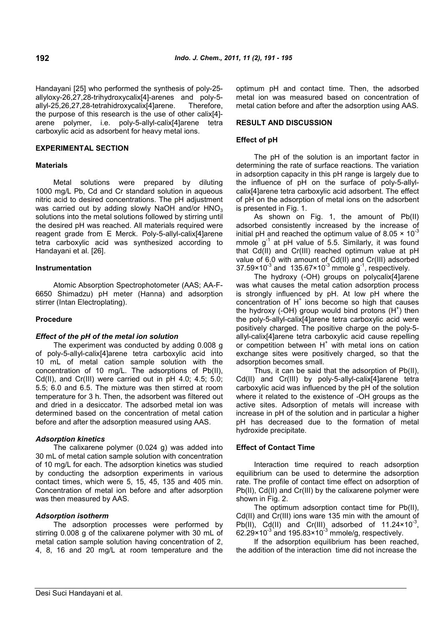Handayani [25] who performed the synthesis of poly-25 allyloxy-26,27,28-trihydroxycalix[4]-arenes and poly-5 allyl-25,26,27,28-tetrahidroxycalix[4]arene. Therefore, the purpose of this research is the use of other calix[4] arene polymer, i.e. poly-5-allyl-calix[4]arene tetra carboxylic acid as adsorbent for heavy metal ions.

## **EXPERIMENTAL SECTION**

## **Materials**

Metal solutions were prepared by diluting 1000 mg/L Pb, Cd and Cr standard solution in aqueous nitric acid to desired concentrations. The pH adjustment was carried out by adding slowly NaOH and/or  $HNO<sub>3</sub>$ solutions into the metal solutions followed by stirring until the desired pH was reached. All materials required were reagent grade from E Merck. Poly-5-allyl-calix[4]arene tetra carboxylic acid was synthesized according to Handayani et al. [26].

## **Instrumentation**

Atomic Absorption Spectrophotometer (AAS; AA-F-6650 Shimadzu) pH meter (Hanna) and adsorption stirrer (Intan Electroplating).

## **Procedure**

## *Effect of the pH of the metal ion solution*

The experiment was conducted by adding 0.008 g of poly-5-allyl-calix[4]arene tetra carboxylic acid into 10 mL of metal cation sample solution with the concentration of 10 mg/L. The adsorptions of Pb(II), Cd(II), and Cr(III) were carried out in pH 4.0; 4.5; 5.0; 5.5; 6.0 and 6.5. The mixture was then stirred at room temperature for 3 h. Then, the adsorbent was filtered out and dried in a desiccator. The adsorbed metal ion was determined based on the concentration of metal cation before and after the adsorption measured using AAS.

## *Adsorption kinetics*

The calixarene polymer (0.024 g) was added into 30 mL of metal cation sample solution with concentration of 10 mg/L for each. The adsorption kinetics was studied by conducting the adsorption experiments in various contact times, which were 5, 15, 45, 135 and 405 min. Concentration of metal ion before and after adsorption was then measured by AAS.

## *Adsorption isotherm*

The adsorption processes were performed by stirring 0.008 g of the calixarene polymer with 30 mL of metal cation sample solution having concentration of 2, 4, 8, 16 and 20 mg/L at room temperature and the optimum pH and contact time. Then, the adsorbed metal ion was measured based on concentration of metal cation before and after the adsorption using AAS.

## **RESULT AND DISCUSSION**

## **Effect of pH**

The pH of the solution is an important factor in determining the rate of surface reactions. The variation in adsorption capacity in this pH range is largely due to the influence of pH on the surface of poly-5-allylcalix[4]arene tetra carboxylic acid adsorbent. The effect of pH on the adsorption of metal ions on the adsorbent is presented in Fig. 1.

As shown on Fig. 1, the amount of Pb(II) adsorbed consistently increased by the increase of initial pH and reached the optimum value of 8.05  $\times$  10<sup>-3</sup> mmole  $g^{-1}$  at pH value of 5.5. Similarly, it was found that Cd(II) and Cr(III) reached optimum value at pH value of 6.0 with amount of Cd(II) and Cr(III) adsorbed  $37.59 \times 10^{-3}$  and  $135.67 \times 10^{-3}$  mmole g<sup>-1</sup>, respectively.

The hydroxy (-OH) groups on polycalix[4]arene was what causes the metal cation adsorption process is strongly influenced by pH. At low pH where the  $concentration of H<sup>+</sup> ions become so high that causes$ the hydroxy (-OH) group would bind protons  $(H<sup>+</sup>)$  then the poly-5-allyl-calix[4]arene tetra carboxylic acid were positively charged. The positive charge on the poly-5 allyl-calix[4]arene tetra carboxylic acid cause repelling or competition between H<sup>+</sup> with metal ions on cation exchange sites were positively charged, so that the adsorption becomes small.

Thus, it can be said that the adsorption of Pb(II), Cd(II) and Cr(III) by poly-5-allyl-calix[4]arene tetra carboxylic acid was influenced by the pH of the solution where it related to the existence of -OH groups as the active sites. Adsorption of metals will increase with increase in pH of the solution and in particular a higher pH has decreased due to the formation of metal hydroxide precipitate.

## **Effect of Contact Time**

Interaction time required to reach adsorption equilibrium can be used to determine the adsorption rate. The profile of contact time effect on adsorption of Pb(II), Cd(II) and Cr(III) by the calixarene polymer were shown in Fig. 2.

The optimum adsorption contact time for Pb(II), Cd(II) and Cr(III) ions ware 135 min with the amount of Pb(II), Cd(II) and Cr(III) adsorbed of 11.24 $\times$ 10<sup>-3</sup>, 62.29 $\times$ 10<sup>-3</sup> and 195.83 $\times$ 10<sup>-3</sup> mmole/g, respectively.

If the adsorption equilibrium has been reached, the addition of the interaction time did not increase the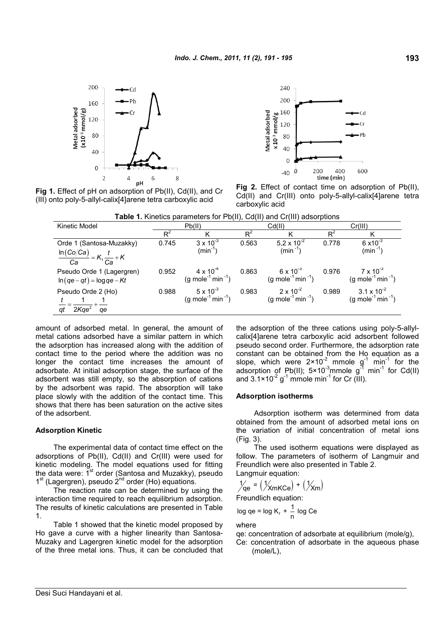200 .Cd )h 160 Metal adsorbed  $(x10<sup>3</sup>mmol/g)$ 120 80 40  $\Omega$  $\overline{4}$  $\mathbf{R}$  $\overline{\phantom{a}}$ 6 pH



**Fig 1.** Effect of pH on adsorption of Pb(II), Cd(II), and Cr (III) onto poly-5-allyl-calix[4]arene tetra carboxylic acid

**Fig 2.** Effect of contact time on adsorption of Pb(II), Cd(II) and Cr(III) onto poly-5-allyl-calix[4]arene tetra carboxylic acid

| Table 1. Kinetics parameters for Pb(II), Cd(II) and Cr(III) adsorptions |
|-------------------------------------------------------------------------|
|-------------------------------------------------------------------------|

| <b>TWO I</b> . INTO NO PUTATIONS TO T DITT, OUTH, and OITH, adopt phono |        |                                                                 |       |                                                                 |         |                                                                   |  |  |  |  |  |
|-------------------------------------------------------------------------|--------|-----------------------------------------------------------------|-------|-----------------------------------------------------------------|---------|-------------------------------------------------------------------|--|--|--|--|--|
| Kinetic Model                                                           | Pb(II) |                                                                 |       | Cd(II)                                                          | Cr(III) |                                                                   |  |  |  |  |  |
|                                                                         | $R^2$  |                                                                 | $R^2$ |                                                                 | $R^2$   |                                                                   |  |  |  |  |  |
| Orde 1 (Santosa-Muzakky)                                                | 0.745  | $3 \times 10^{-3}$                                              | 0.563 | 5,2 x $10^{-2}$                                                 | 0.778   | $6 \times 10^{-3}$                                                |  |  |  |  |  |
| $\frac{\ln(Co/Ca)}{Ca} = K_1 \frac{t}{Ca} + K$                          |        | $(min^{-1})$                                                    |       | $\text{(min}^{-1})$                                             |         | $(min^{-1})$                                                      |  |  |  |  |  |
|                                                                         |        |                                                                 |       |                                                                 |         |                                                                   |  |  |  |  |  |
| Pseudo Orde 1 (Lagergren)<br>$\ln(qe-qt) = \log qe - Kt$                | 0.952  | $4 \times 10^{-4}$<br>(g mole <sup>-1</sup> min <sup>-1</sup> ) | 0.863 | $6 \times 10^{-3}$<br>(g mole <sup>-1</sup> min <sup>-1</sup> ) | 0.976   | $7 \times 10^{-3}$<br>(g mole <sup>-1</sup> min <sup>-1</sup> )   |  |  |  |  |  |
| Pseudo Orde 2 (Ho)<br>$=\frac{1}{2Kqe^2}$<br>$q$ e<br>qt                | 0.988  | $5 \times 10^{-3}$<br>(g mole <sup>-1</sup> min <sup>-1</sup> ) | 0.983 | $2 \times 10^{-2}$<br>$(g \text{ mole}^{-1} \text{min}^{-1})$   | 0.989   | $3.1 \times 10^{-2}$<br>(g mole <sup>-1</sup> min <sup>-1</sup> ) |  |  |  |  |  |

amount of adsorbed metal. In general, the amount of metal cations adsorbed have a similar pattern in which the adsorption has increased along with the addition of contact time to the period where the addition was no longer the contact time increases the amount of adsorbate. At initial adsorption stage, the surface of the adsorbent was still empty, so the absorption of cations by the adsorbent was rapid. The absorption will take place slowly with the addition of the contact time. This shows that there has been saturation on the active sites of the adsorbent.

#### **Adsorption Kinetic**

The experimental data of contact time effect on the adsorptions of Pb(II), Cd(II) and Cr(III) were used for kinetic modeling. The model equations used for fitting the data were: 1<sup>st</sup> order (Santosa and Muzakky), pseudo 1<sup>st</sup> (Lagergren), pseudo 2<sup>nd</sup> order (Ho) equations.

The reaction rate can be determined by using the interaction time required to reach equilibrium adsorption. The results of kinetic calculations are presented in Table 1.

Table 1 showed that the kinetic model proposed by Ho gave a curve with a higher linearity than Santosa-Muzaky and Lagergren kinetic model for the adsorption of the three metal ions. Thus, it can be concluded that the adsorption of the three cations using poly-5-allylcalix[4]arene tetra carboxylic acid adsorbent followed pseudo second order. Furthermore, the adsorption rate constant can be obtained from the Ho equation as a slope, which were  $2 \times 10^{-2}$  mmole  $g^{-1}$  min<sup>-1</sup> for the adsorption of Pb(II);  $5 \times 10^{-3}$ mmole g<sup>-1</sup> min<sup>-1</sup> for Cd(II) and  $3.1 \times 10^{-2}$  g<sup>-1</sup> mmole min<sup>-1</sup> for Cr (III).

## **Adsorption isotherms**

Adsorption isotherm was determined from data obtained from the amount of adsorbed metal ions on the variation of initial concentration of metal ions (Fig. 3).

The used isotherm equations were displayed as follow. The parameters of isotherm of Langmuir and Freundlich were also presented in Table 2. Langmuir equation:

$$
\frac{1}{2} = (\frac{1}{2} \times m \times c_e) + (\frac{1}{2} \times m)
$$

Freundlich equation:

$$
\log qe = \log K_f + \frac{1}{n} \log Ce
$$

where

qe: concentration of adsorbate at equilibrium (mole/g),

Ce: concentration of adsorbate in the aqueous phase (mole/L),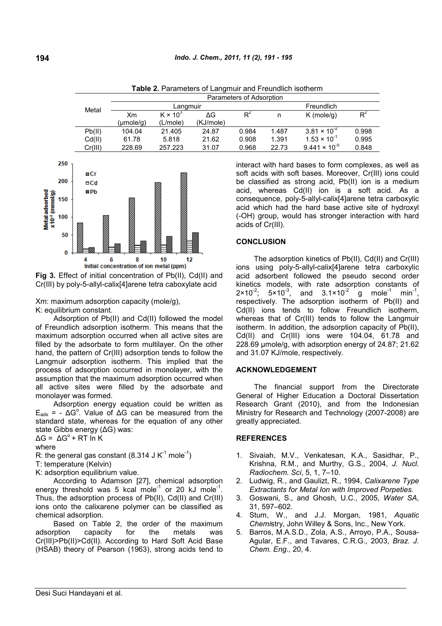| Metal   | Parameters of Adsorption |                 |           |            |       |                        |       |  |  |  |
|---------|--------------------------|-----------------|-----------|------------|-------|------------------------|-------|--|--|--|
|         |                          | Langmuir        |           | Freundlich |       |                        |       |  |  |  |
|         | Xm                       | $K \times 10^3$ | ΔG        | $R^2$      | n     | $K$ (mole/g)           | R     |  |  |  |
|         | (µmole/g)                | (L/mole)        | (KJ/mole) |            |       |                        |       |  |  |  |
| Pb(II)  | 104.04                   | 21.405          | 24.87     | 0.984      | 1.487 | $3.81 \times 10^{-2}$  | 0.998 |  |  |  |
| Cd(II)  | 61.78                    | 5.818           | 21.62     | 0.908      | 1.391 | $1.53 \times 10^{-1}$  | 0.995 |  |  |  |
| Cr(III) | 228.69                   | 257.223         | 31.07     | 0.968      | 22.73 | $9.441 \times 10^{-5}$ | 0.848 |  |  |  |

**Table 2.** Parameters of Langmuir and Freundlich isotherm



**Fig 3.** Effect of initial concentration of Pb(II), Cd(II) and Cr(III) by poly-5-allyl-calix[4]arene tetra caboxylate acid

Xm: maximum adsorption capacity (mole/g), K: equilibrium constant.

Adsorption of Pb(II) and Cd(II) followed the model of Freundlich adsorption isotherm. This means that the maximum adsorption occurred when all active sites are filled by the adsorbate to form multilayer. On the other hand, the pattern of Cr(III) adsorption tends to follow the Langmuir adsorption isotherm. This implied that the process of adsorption occurred in monolayer, with the assumption that the maximum adsorption occurred when all active sites were filled by the adsorbate and monolayer was formed.

Adsorption energy equation could be written as  $E_{ads}$  = -  $\Delta G^{\circ}$ . Value of  $\Delta G$  can be measured from the standard state, whereas for the equation of any other state Gibbs energy (ΔG) was:

 $\Delta G = \Delta G^{\circ} + RT \ln K$ 

where

R: the general gas constant (8.314 J K<sup>-1</sup> mole<sup>-1</sup>)

T: temperature (Kelvin)

K: adsorption equilibrium value.

According to Adamson [27], chemical adsorption energy threshold was 5 kcal mole<sup>1</sup> or 20 kJ mole<sup>1</sup>. Thus, the adsorption process of Pb(II), Cd(II) and Cr(III) ions onto the calixarene polymer can be classified as chemical adsorption.

Based on Table 2, the order of the maximum adsorption capacity for the metals was Cr(III)>Pb(II)>Cd(II). According to Hard Soft Acid Base (HSAB) theory of Pearson (1963), strong acids tend to interact with hard bases to form complexes, as well as soft acids with soft bases. Moreover, Cr(III) ions could be classified as strong acid, Pb(II) ion is a medium acid, whereas Cd(II) ion is a soft acid. As a consequence, poly-5-allyl-calix[4]arene tetra carboxylic acid which had the hard base active site of hydroxyl (-OH) group, would has stronger interaction with hard acids of Cr(III).

## **CONCLUSION**

The adsorption kinetics of Pb(II), Cd(II) and Cr(III) ions using poly-5-allyl-calix[4]arene tetra carboxylic acid adsorbent followed the pseudo second order kinetics models, with rate adsorption constants of  $2 \times 10^{-2}$ ;  $5 \times 10^{-3}$ , and  $3.1 \times 10^{-2}$ g mole $^{-1}$  min $^{-1}$ , respectively. The adsorption isotherm of Pb(II) and Cd(II) ions tends to follow Freundlich isotherm, whereas that of Cr(III) tends to follow the Langmuir isotherm. In addition, the adsorption capacity of Pb(II), Cd(II) and Cr(III) ions were 104.04, 61.78 and 228.69 μmole/g, with adsorption energy of 24.87; 21.62 and 31.07 KJ/mole, respectively.

## **ACKNOWLEDGEMENT**

The financial support from the Directorate General of Higher Education a Doctoral Dissertation Research Grant (2010), and from the Indonesian Ministry for Research and Technology (2007-2008) are greatly appreciated.

## **REFERENCES**

- 1. Sivaiah, M.V., Venkatesan, K.A., Sasidhar, P., Krishna, R.M., and Murthy, G.S., 2004, *J. Nucl. Radiochem. Sci*, 5, 1, 7–10.
- 2. Ludwig, R., and Gaulizt, R., 1994, *Calixarene Type Extractants for Metal Ion with Improved Porpeties.*
- 3. Goswani, S., and Ghosh, U.C., 2005, *Water SA*, 31, 597–602.
- 4. Stum, W., and J.J. Morgan, 1981, *Aquatic Chemi*stry, John Willey & Sons, Inc., New York.
- 5. Barros, M.A.S.D., Zola, A.S., Arroyo, P.A., Sousa-Agular, E.F., and Tavares, C.R.G., 2003, *Braz. J. Chem. Eng*., 20, 4.